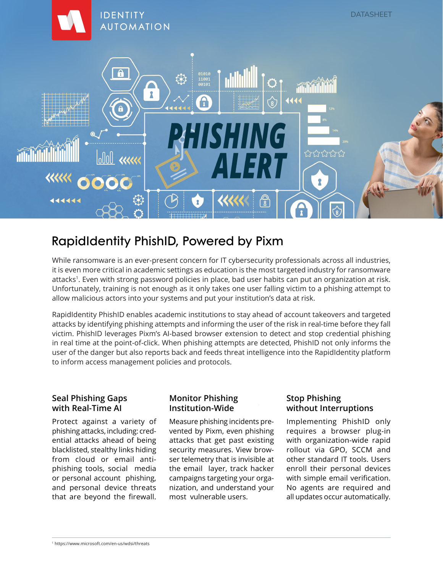

# RapidIdentity PhishID, Powered by Pixm

While ransomware is an ever-present concern for IT cybersecurity professionals across all industries, it is even more critical in academic settings as education is the most targeted industry for ransomware attacks<sup>1</sup>. Even with strong password policies in place, bad user habits can put an organization at risk. Unfortunately, training is not enough as it only takes one user falling victim to a phishing attempt to allow malicious actors into your systems and put your institution's data at risk.

RapidIdentity PhishID enables academic institutions to stay ahead of account takeovers and targeted attacks by identifying phishing attempts and informing the user of the risk in real-time before they fall victim. PhishID leverages Pixm's AI-based browser extension to detect and stop credential phishing in real time at the point-of-click. When phishing attempts are detected, PhishID not only informs the user of the danger but also reports back and feeds threat intelligence into the RapidIdentity platform to inform access management policies and protocols.

## **Seal Phishing Gaps with Real-Time AI**

Protect against a variety of phishing attacks, including: credential attacks ahead of being blacklisted, stealthy links hiding from cloud or email antiphishing tools, social media or personal account phishing, and personal device threats that are beyond the firewall.

## **Monitor Phishing Institution-Wide**

Measure phishing incidents prevented by Pixm, even phishing attacks that get past existing security measures. View browser telemetry that is invisible at the email layer, track hacker campaigns targeting your organization, and understand your most vulnerable users.

# **Stop Phishing without Interruptions**

Implementing PhishID only requires a browser plug-in with organization-wide rapid rollout via GPO, SCCM and other standard IT tools. Users enroll their personal devices with simple email verification. No agents are required and all updates occur automatically.